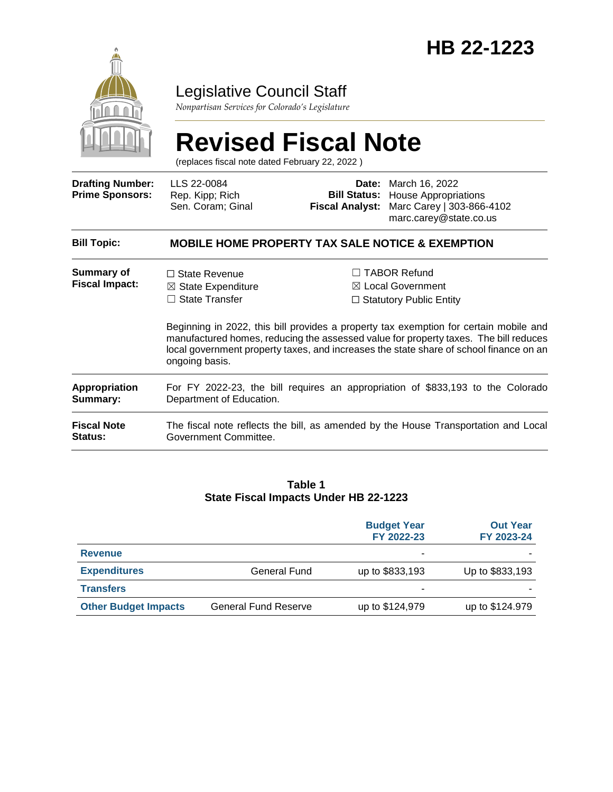

### Legislative Council Staff

*Nonpartisan Services for Colorado's Legislature*

# **Revised Fiscal Note**

(replaces fiscal note dated February 22, 2022 )

| <b>Drafting Number:</b><br><b>Prime Sponsors:</b> | LLS 22-0084<br>Rep. Kipp; Rich<br>Sen. Coram; Ginal                                                                                                                                                                                                                                       | Date:<br><b>Bill Status:</b><br><b>Fiscal Analyst:</b> | March 16, 2022<br><b>House Appropriations</b><br>Marc Carey   303-866-4102<br>marc.carey@state.co.us |  |
|---------------------------------------------------|-------------------------------------------------------------------------------------------------------------------------------------------------------------------------------------------------------------------------------------------------------------------------------------------|--------------------------------------------------------|------------------------------------------------------------------------------------------------------|--|
| <b>Bill Topic:</b>                                | <b>MOBILE HOME PROPERTY TAX SALE NOTICE &amp; EXEMPTION</b>                                                                                                                                                                                                                               |                                                        |                                                                                                      |  |
| Summary of<br><b>Fiscal Impact:</b>               | $\Box$ State Revenue<br>$\boxtimes$ State Expenditure<br><b>State Transfer</b><br>П                                                                                                                                                                                                       |                                                        | <b>TABOR Refund</b><br>$\boxtimes$ Local Government<br>$\Box$ Statutory Public Entity                |  |
|                                                   | Beginning in 2022, this bill provides a property tax exemption for certain mobile and<br>manufactured homes, reducing the assessed value for property taxes. The bill reduces<br>local government property taxes, and increases the state share of school finance on an<br>ongoing basis. |                                                        |                                                                                                      |  |
| <b>Appropriation</b><br>Summary:                  | For FY 2022-23, the bill requires an appropriation of \$833,193 to the Colorado<br>Department of Education.                                                                                                                                                                               |                                                        |                                                                                                      |  |
| <b>Fiscal Note</b><br>Status:                     | The fiscal note reflects the bill, as amended by the House Transportation and Local<br>Government Committee.                                                                                                                                                                              |                                                        |                                                                                                      |  |

#### **Table 1 State Fiscal Impacts Under HB 22-1223**

|                             |                             | <b>Budget Year</b><br>FY 2022-23 | <b>Out Year</b><br>FY 2023-24 |
|-----------------------------|-----------------------------|----------------------------------|-------------------------------|
| <b>Revenue</b>              |                             | ۰                                |                               |
| <b>Expenditures</b>         | General Fund                | up to \$833,193                  | Up to \$833,193               |
| <b>Transfers</b>            |                             | ٠                                |                               |
| <b>Other Budget Impacts</b> | <b>General Fund Reserve</b> | up to \$124,979                  | up to \$124.979               |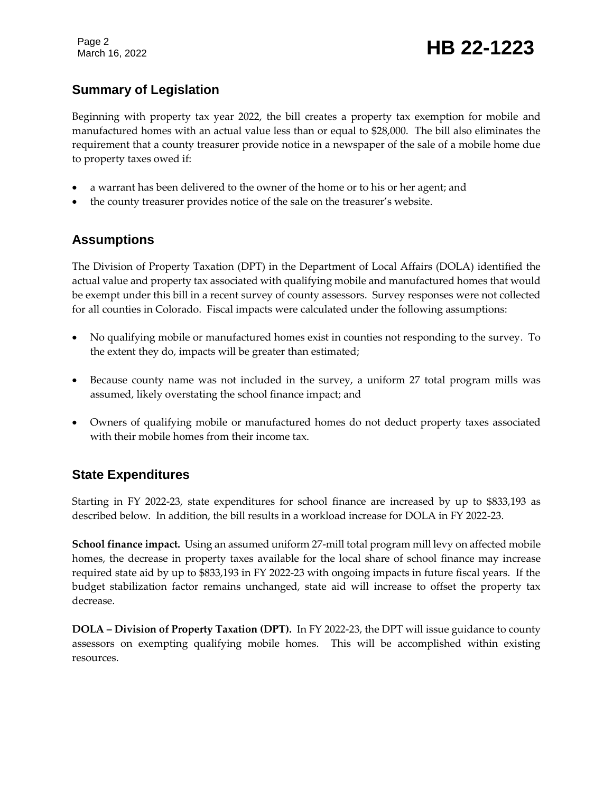Page 2

## Page 2<br>March 16, 2022 **HB 22-1223**

#### **Summary of Legislation**

Beginning with property tax year 2022, the bill creates a property tax exemption for mobile and manufactured homes with an actual value less than or equal to \$28,000. The bill also eliminates the requirement that a county treasurer provide notice in a newspaper of the sale of a mobile home due to property taxes owed if:

- a warrant has been delivered to the owner of the home or to his or her agent; and
- the county treasurer provides notice of the sale on the treasurer's website.

#### **Assumptions**

The Division of Property Taxation (DPT) in the Department of Local Affairs (DOLA) identified the actual value and property tax associated with qualifying mobile and manufactured homes that would be exempt under this bill in a recent survey of county assessors. Survey responses were not collected for all counties in Colorado. Fiscal impacts were calculated under the following assumptions:

- No qualifying mobile or manufactured homes exist in counties not responding to the survey. To the extent they do, impacts will be greater than estimated;
- Because county name was not included in the survey, a uniform 27 total program mills was assumed, likely overstating the school finance impact; and
- Owners of qualifying mobile or manufactured homes do not deduct property taxes associated with their mobile homes from their income tax.

#### **State Expenditures**

Starting in FY 2022-23, state expenditures for school finance are increased by up to \$833,193 as described below. In addition, the bill results in a workload increase for DOLA in FY 2022-23.

**School finance impact.** Using an assumed uniform 27-mill total program mill levy on affected mobile homes, the decrease in property taxes available for the local share of school finance may increase required state aid by up to \$833,193 in FY 2022-23 with ongoing impacts in future fiscal years. If the budget stabilization factor remains unchanged, state aid will increase to offset the property tax decrease.

**DOLA – Division of Property Taxation (DPT).** In FY 2022-23, the DPT will issue guidance to county assessors on exempting qualifying mobile homes. This will be accomplished within existing resources.